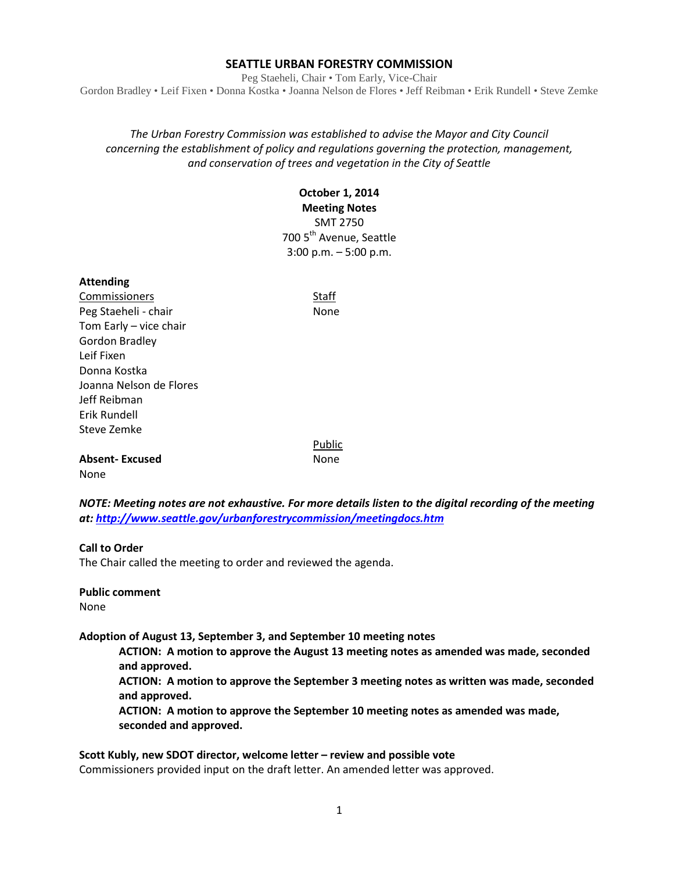#### **SEATTLE URBAN FORESTRY COMMISSION**

Peg Staeheli, Chair • Tom Early, Vice-Chair Gordon Bradley • Leif Fixen • Donna Kostka • Joanna Nelson de Flores • Jeff Reibman • Erik Rundell • Steve Zemke

## *The Urban Forestry Commission was established to advise the Mayor and City Council concerning the establishment of policy and regulations governing the protection, management, and conservation of trees and vegetation in the City of Seattle*

## **October 1, 2014 Meeting Notes** SMT 2750 700 5<sup>th</sup> Avenue, Seattle 3:00 p.m. – 5:00 p.m.

#### **Attending**

**Commissioners** Staff Peg Staeheli - chair None Tom Early – vice chair Gordon Bradley Leif Fixen Donna Kostka Joanna Nelson de Flores Jeff Reibman Erik Rundell Steve Zemke

**Absent-Excused** None None

*NOTE: Meeting notes are not exhaustive. For more details listen to the digital recording of the meeting at:<http://www.seattle.gov/urbanforestrycommission/meetingdocs.htm>*

Public

#### **Call to Order**

The Chair called the meeting to order and reviewed the agenda.

## **Public comment**

None

**Adoption of August 13, September 3, and September 10 meeting notes**

**ACTION: A motion to approve the August 13 meeting notes as amended was made, seconded and approved.** 

**ACTION: A motion to approve the September 3 meeting notes as written was made, seconded and approved.** 

**ACTION: A motion to approve the September 10 meeting notes as amended was made, seconded and approved.** 

**Scott Kubly, new SDOT director, welcome letter – review and possible vote** Commissioners provided input on the draft letter. An amended letter was approved.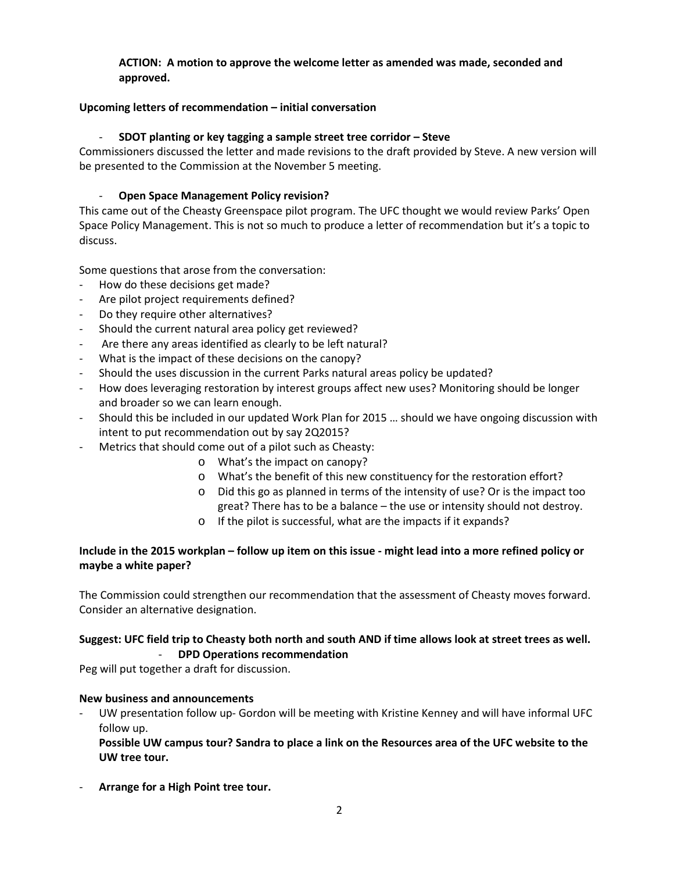## **ACTION: A motion to approve the welcome letter as amended was made, seconded and approved.**

## **Upcoming letters of recommendation – initial conversation**

## - **SDOT planting or key tagging a sample street tree corridor – Steve**

Commissioners discussed the letter and made revisions to the draft provided by Steve. A new version will be presented to the Commission at the November 5 meeting.

## - **Open Space Management Policy revision?**

This came out of the Cheasty Greenspace pilot program. The UFC thought we would review Parks' Open Space Policy Management. This is not so much to produce a letter of recommendation but it's a topic to discuss.

Some questions that arose from the conversation:

- How do these decisions get made?
- Are pilot project requirements defined?
- Do they require other alternatives?
- Should the current natural area policy get reviewed?
- Are there any areas identified as clearly to be left natural?
- What is the impact of these decisions on the canopy?
- Should the uses discussion in the current Parks natural areas policy be updated?
- How does leveraging restoration by interest groups affect new uses? Monitoring should be longer and broader so we can learn enough.
- Should this be included in our updated Work Plan for 2015 … should we have ongoing discussion with intent to put recommendation out by say 2Q2015?
- Metrics that should come out of a pilot such as Cheasty:
	- o What's the impact on canopy?
	- o What's the benefit of this new constituency for the restoration effort?
	- o Did this go as planned in terms of the intensity of use? Or is the impact too great? There has to be a balance – the use or intensity should not destroy.
	- o If the pilot is successful, what are the impacts if it expands?

## **Include in the 2015 workplan – follow up item on this issue - might lead into a more refined policy or maybe a white paper?**

The Commission could strengthen our recommendation that the assessment of Cheasty moves forward. Consider an alternative designation.

## **Suggest: UFC field trip to Cheasty both north and south AND if time allows look at street trees as well.**  - **DPD Operations recommendation**

Peg will put together a draft for discussion.

### **New business and announcements**

UW presentation follow up- Gordon will be meeting with Kristine Kenney and will have informal UFC follow up.

**Possible UW campus tour? Sandra to place a link on the Resources area of the UFC website to the UW tree tour.**

- **Arrange for a High Point tree tour.**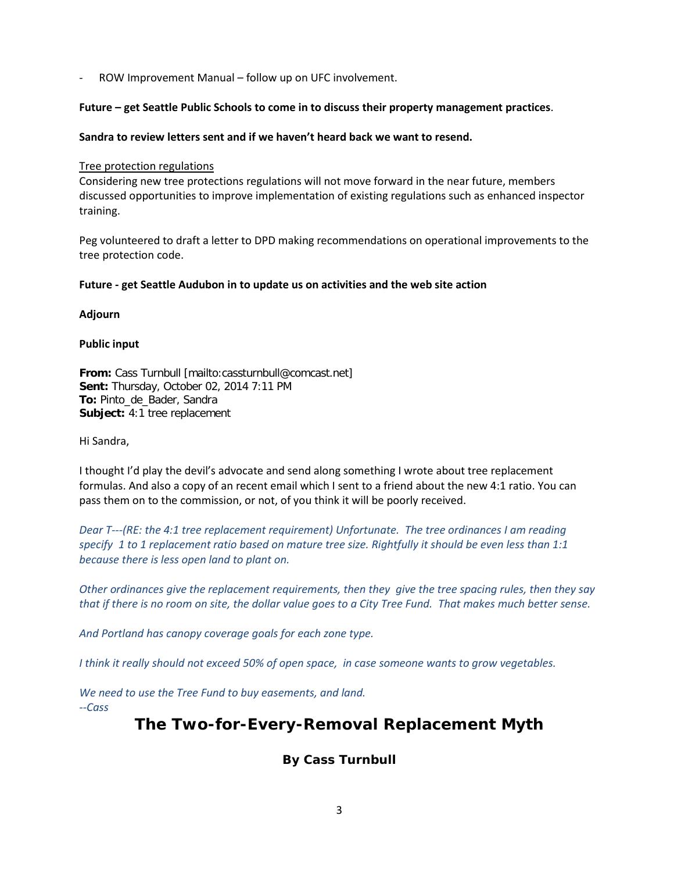ROW Improvement Manual – follow up on UFC involvement.

#### **Future – get Seattle Public Schools to come in to discuss their property management practices**.

#### **Sandra to review letters sent and if we haven't heard back we want to resend.**

#### Tree protection regulations

Considering new tree protections regulations will not move forward in the near future, members discussed opportunities to improve implementation of existing regulations such as enhanced inspector training.

Peg volunteered to draft a letter to DPD making recommendations on operational improvements to the tree protection code.

#### **Future - get Seattle Audubon in to update us on activities and the web site action**

#### **Adjourn**

#### **Public input**

**From:** Cass Turnbull [mailto:cassturnbull@comcast.net] **Sent:** Thursday, October 02, 2014 7:11 PM **To:** Pinto\_de\_Bader, Sandra **Subject:** 4:1 tree replacement

Hi Sandra,

I thought I'd play the devil's advocate and send along something I wrote about tree replacement formulas. And also a copy of an recent email which I sent to a friend about the new 4:1 ratio. You can pass them on to the commission, or not, of you think it will be poorly received.

*Dear T---(RE: the 4:1 tree replacement requirement) Unfortunate. The tree ordinances I am reading specify 1 to 1 replacement ratio based on mature tree size. Rightfully it should be even less than 1:1 because there is less open land to plant on.* 

*Other ordinances give the replacement requirements, then they give the tree spacing rules, then they say that if there is no room on site, the dollar value goes to a City Tree Fund. That makes much better sense.* 

*And Portland has canopy coverage goals for each zone type.* 

*I think it really should not exceed 50% of open space, in case someone wants to grow vegetables.* 

*We need to use the Tree Fund to buy easements, and land.*

*--Cass*

# **The Two-for-Every-Removal Replacement Myth**

# **By Cass Turnbull**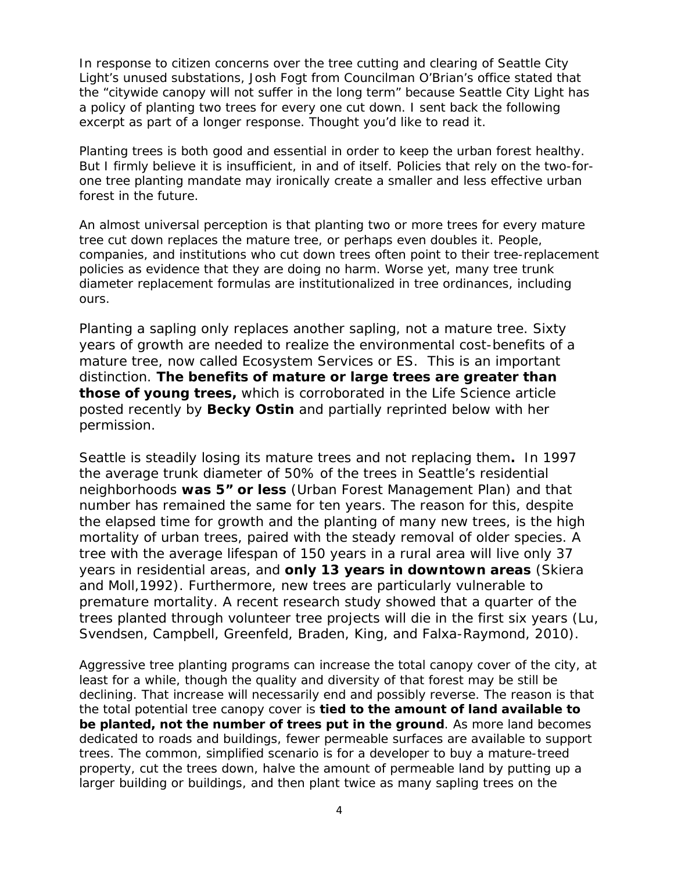*In response to citizen concerns over the tree cutting and clearing of Seattle City Light's unused substations, Josh Fogt from Councilman O'Brian's office stated that the "citywide canopy will not suffer in the long term" because Seattle City Light has a policy of planting two trees for every one cut down. I sent back the following excerpt as part of a longer response. Thought you'd like to read it.* 

Planting trees is both good and essential in order to keep the urban forest healthy. But I firmly believe it is insufficient, in and of itself. Policies that rely on the two-forone tree planting mandate may ironically create a smaller and less effective urban forest in the future.

An almost universal perception is that planting two or more trees for every mature tree cut down replaces the mature tree, or perhaps even doubles it. People, companies, and institutions who cut down trees often point to their tree-replacement policies as evidence that they are doing no harm. Worse yet, many tree trunk diameter replacement formulas are institutionalized in tree ordinances, including ours.

Planting a sapling only replaces another sapling, not a mature tree. Sixty years of growth are needed to realize the environmental cost-benefits of a mature tree, now called Ecosystem Services or ES. This is an important distinction. *The benefits of mature or large trees are greater than those of young trees,* which is corroborated in the *Life* Science article posted recently by **Becky Ostin** and partially reprinted below with her permission*.*

Seattle is steadily losing its mature trees and not replacing them**.** In 1997 the average trunk diameter of 50% of the trees in Seattle's residential neighborhoods *was 5" or less (Urban Forest Management Plan)* and that number has remained the same for ten years. The reason for this, despite the elapsed time for growth and the planting of many new trees, is the high mortality of urban trees, paired with the steady removal of older species. A tree with the average lifespan of 150 years in a rural area will live only 37 years in residential areas, and *only 13 years in downtown areas (Skiera and Moll,1992)*. Furthermore, new trees are particularly vulnerable to premature mortality. A recent research study showed that a quarter of the trees planted through volunteer tree projects will die in the first six years *(Lu, Svendsen, Campbell, Greenfeld, Braden, King, and Falxa-Raymond, 2010)*.

Aggressive tree planting programs can increase the total canopy cover of the city, at least for a while, though the quality and diversity of that forest may be still be declining. That increase will necessarily end and possibly reverse. The reason is that the total potential tree canopy cover is **tied to the amount of land available to be planted, not the number of trees put in the ground**. As more land becomes dedicated to roads and buildings, fewer permeable surfaces are available to support trees. The common, simplified scenario is for a developer to buy a mature-treed property, cut the trees down, halve the amount of permeable land by putting up a larger building or buildings, and then plant twice as many sapling trees on the